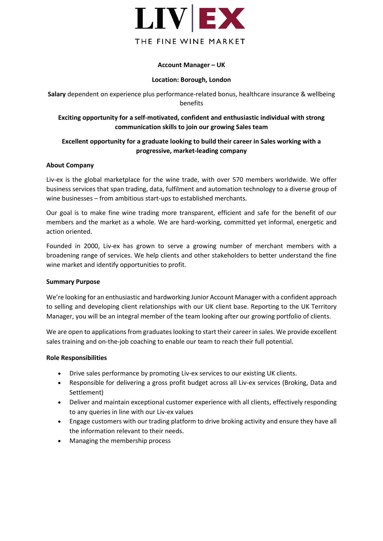

## **Account Manager – UK**

#### **Location: Borough, London**

**Salary** dependent on experience plus performance-related bonus, healthcare insurance & wellbeing benefits

# **Exciting opportunity for a self-motivated, confident and enthusiastic individual with strong communication skills to join our growing Sales team**

## **Excellent opportunity for a graduate looking to build their career in Sales working with a progressive, market-leading company**

## **About Company**

Liv-ex is the global marketplace for the wine trade, with over 570 members worldwide. We offer business services that span trading, data, fulfilment and automation technology to a diverse group of wine businesses – from ambitious start-ups to established merchants.

Our goal is to make fine wine trading more transparent, efficient and safe for the benefit of our members and the market as a whole. We are hard-working, committed yet informal, energetic and action oriented.

Founded in 2000, Liv-ex has grown to serve a growing number of merchant members with a broadening range of services. We help clients and other stakeholders to better understand the fine wine market and identify opportunities to profit.

## **Summary Purpose**

We're looking for an enthusiastic and hardworking Junior Account Manager with a confident approach to selling and developing client relationships with our UK client base. Reporting to the UK Territory Manager, you will be an integral member of the team looking after our growing portfolio of clients.

We are open to applications from graduates looking to start their career in sales. We provide excellent sales training and on-the-job coaching to enable our team to reach their full potential.

## **Role Responsibilities**

- Drive sales performance by promoting Liv-ex services to our existing UK clients.
- Responsible for delivering a gross profit budget across all Liv-ex services (Broking, Data and Settlement)
- Deliver and maintain exceptional customer experience with all clients, effectively responding to any queries in line with our Liv-ex values
- Engage customers with our trading platform to drive broking activity and ensure they have all the information relevant to their needs.
- Managing the membership process